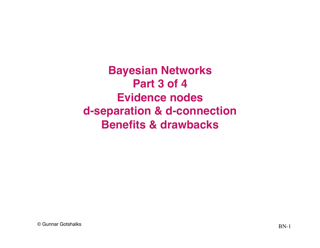**Bayesian Networks Part 3 of 4 Evidence nodes d-separation & d-connection Benefits & drawbacks**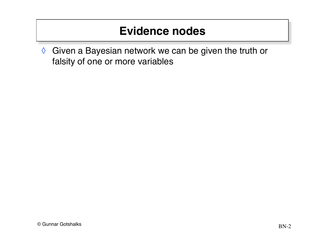◊ Given a Bayesian network we can be given the truth or falsity of one or more variables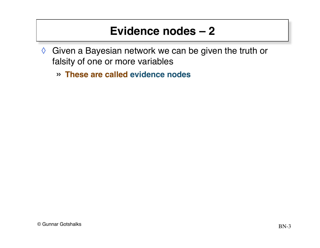- ◊ Given a Bayesian network we can be given the truth or falsity of one or more variables
	- » **These are called evidence nodes**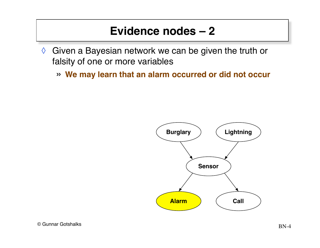- ◊ Given a Bayesian network we can be given the truth or falsity of one or more variables
	- » **We may learn that an alarm occurred or did not occur**

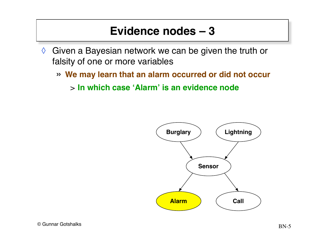- ◊ Given a Bayesian network we can be given the truth or falsity of one or more variables
	- » **We may learn that an alarm occurred or did not occur**

> **In which case 'Alarm' is an evidence node**

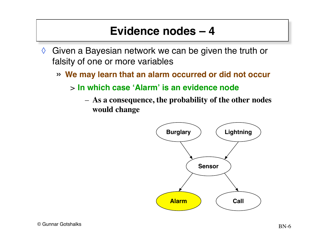- $\Diamond$  Given a Bayesian network we can be given the truth or falsity of one or more variables
	- » **We may learn that an alarm occurred or did not occur**
		- > **In which case 'Alarm' is an evidence node**
			- **As a consequence, the probability of the other nodes would change**

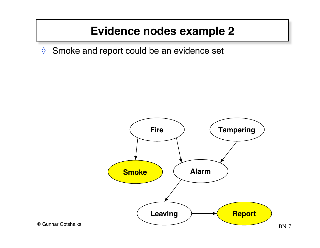# **Evidence nodes example 2**

◊ Smoke and report could be an evidence set

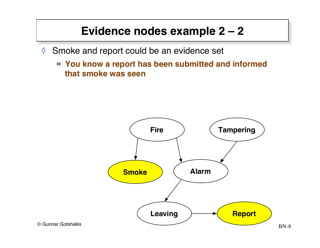# **Evidence nodes example 2 – 2**

- ◊ Smoke and report could be an evidence set
	- » **You know a report has been submitted and informed that smoke was seen**

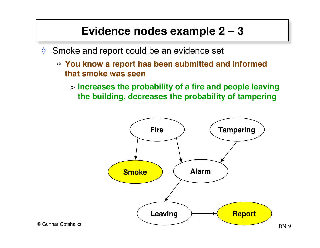# **Evidence nodes example 2 – 3**

- ◊ Smoke and report could be an evidence set
	- » **You know a report has been submitted and informed that smoke was seen**
		- > **Increases the probability of a fire and people leaving the building, decreases the probability of tampering**

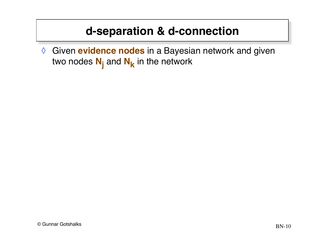◊ Given **evidence nodes** in a Bayesian network and given two nodes  $N_i$  and  $N_k$  in the network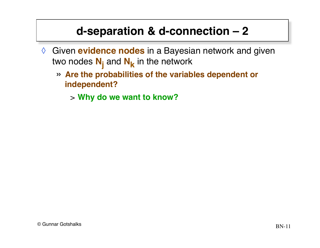- ◊ Given **evidence nodes** in a Bayesian network and given two nodes  $\textbf{N}_{\textbf{j}}$  and  $\textbf{N}_{\textbf{k}}$  in the network
	- » **Are the probabilities of the variables dependent or independent?**
		- > **Why do we want to know?**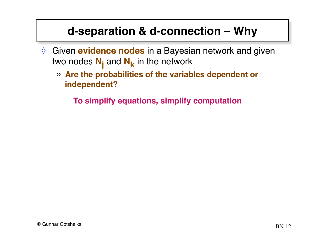- ◊ Given **evidence nodes** in a Bayesian network and given two nodes  $\textbf{N}_{\textbf{j}}$  and  $\textbf{N}_{\textbf{k}}$  in the network
	- » **Are the probabilities of the variables dependent or independent?**

**To simplify equations, simplify computation**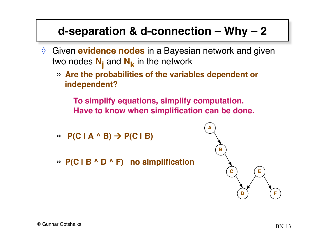- ◊ Given **evidence nodes** in a Bayesian network and given two nodes  $\textbf{N}_{\textbf{j}}$  and  $\textbf{N}_{\textbf{k}}$  in the network
	- » **Are the probabilities of the variables dependent or independent?**

**To simplify equations, simplify computation. Have to know when simplification can be done.**

- $\rightarrow$  **P(C | A ^ B)**  $\rightarrow$  **P(C | B)**
- » **P(C | B ^ D ^ F) no simplification**

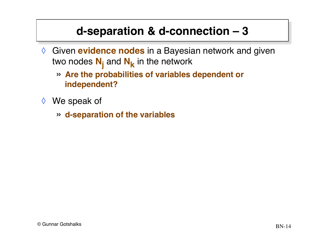- ◊ Given **evidence nodes** in a Bayesian network and given two nodes  $\textbf{N}_{\textbf{j}}$  and  $\textbf{N}_{\textbf{k}}$  in the network
	- » **Are the probabilities of variables dependent or independent?**
- ◊ We speak of
	- » **d-separation of the variables**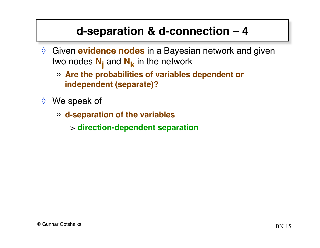- ◊ Given **evidence nodes** in a Bayesian network and given two nodes  $\textbf{N}_{\textbf{j}}$  and  $\textbf{N}_{\textbf{k}}$  in the network
	- » **Are the probabilities of variables dependent or independent (separate)?**
- ◊ We speak of
	- » **d-separation of the variables**
		- > **direction-dependent separation**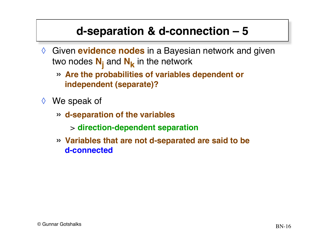- ◊ Given **evidence nodes** in a Bayesian network and given two nodes  $\textbf{N}_{\textbf{j}}$  and  $\textbf{N}_{\textbf{k}}$  in the network
	- » **Are the probabilities of variables dependent or independent (separate)?**
- ◊ We speak of
	- » **d-separation of the variables**
		- > **direction-dependent separation**
	- » **Variables that are not d-separated are said to be d-connected**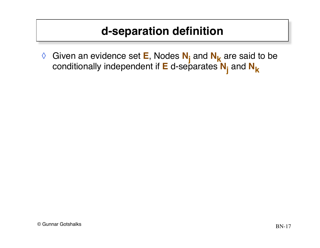# **d-separation definition**

◊ Given an evidence set **E**, Nodes **Nj** and **Nk** are said to be conditionally independent if **E** d-separates **Nj** and **Nk**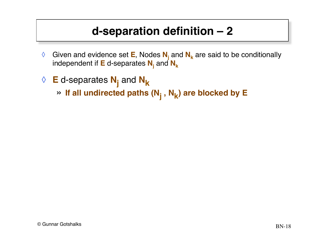# **d-separation definition – 2**

- ◊ Given and evidence set **E**, Nodes **Nj** and **Nk** are said to be conditionally independent if  $E$  d-separates  $N_i$  and  $N_k$
- ◊ **E** d-separates **Nj** and **Nk**
	- » If all undirected paths (N<sub>j</sub>, N<sub>k</sub>) are blocked by E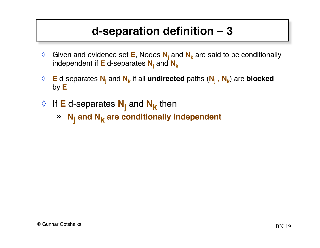### **d-separation definition – 3**

- ◊ Given and evidence set **E**, Nodes **Nj** and **Nk** are said to be conditionally independent if  $E$  d-separates  $N_i$  and  $N_k$
- ◊ **E** d-separates **Nj** and **Nk** if all **undirected** paths (**Nj , Nk**) are **blocked** by **E**
- ◊ If **E** d-separates **Nj** and **Nk** then
	- » **Nj and Nk are conditionally independent**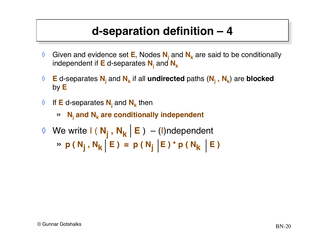### **d-separation definition – 4**

- ◊ Given and evidence set **E**, Nodes **Nj** and **Nk** are said to be conditionally independent if  $E$  d-separates  $N_i$  and  $N_k$
- ◊ **E** d-separates **Nj** and **Nk** if all **undirected** paths (**Nj , Nk**) are **blocked** by **E**
- ◊ If **E** d-separates **Nj** and **Nk** then
	- $\mathbf{N}_i$  and  $\mathbf{N}_k$  are conditionally independent
- ◇ We write **I**(N<sub>j</sub>,N<sub>k</sub>|E) (I)ndependent » **p** ( N<sub>j</sub>, N<sub>k</sub> E ) = **p** ( N<sub>j</sub> E ) \* p ( N<sub>k</sub> E )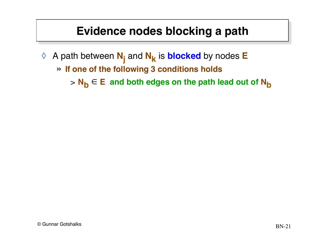### **Evidence nodes blocking a path**

- ◊ A path between **Nj** and **Nk** is **blocked** by nodes **E**
	- » **If one of the following 3 conditions holds**

 $\mathbf{N}_{\mathbf{b}} \in \mathbf{E}$  and both edges on the path lead out of  $\mathbf{N}_{\mathbf{b}}$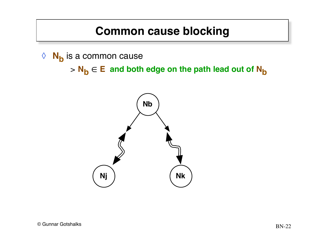#### **Common cause blocking**

◊ **Nb** is a common cause

 $> N_b \in E$  and both edge on the path lead out of  $N_b$ 

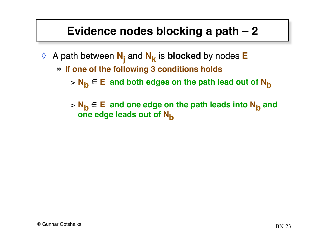#### **Evidence nodes blocking a path – 2**

- ◊ A path between **Nj** and **Nk** is **blocked** by nodes **E**
	- » **If one of the following 3 conditions holds**

> N<sub>b</sub> ∈ E and both edges on the path lead out of N<sub>b</sub>

> N<sub>b</sub> ∈ E and one edge on the path leads into N<sub>b</sub> and **one edge leads out of N<sub>b</sub>**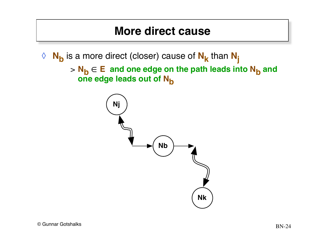#### **More direct cause**

◊ **Nb** is a more direct (closer) cause of **Nk** than **Nj**

> N<sub>b</sub> ∈ E and one edge on the path leads into N<sub>b</sub> and one edge leads out of N<sub>b</sub> ∈

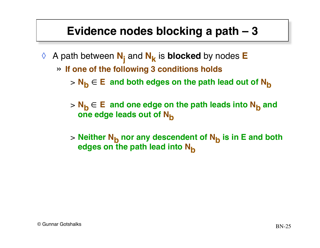#### **Evidence nodes blocking a path – 3**

- ◊ A path between **Nj** and **Nk** is **blocked** by nodes **E**
	- » **If one of the following 3 conditions holds**

> N<sub>b</sub> ∈ E and both edges on the path lead out of N<sub>b</sub>

- > N<sub>b</sub> ∈ E and one edge on the path leads into N<sub>b</sub> and **one edge leads out of N<sub>b</sub>**
- > Neither N<sub>b</sub> nor any descendent of N<sub>b</sub> is in E and both **edges on the path lead into N<sub>b</sub>**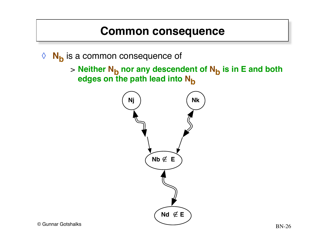#### **Common consequence**

◊ **Nb** is a common consequence of

> Neither N<sub>b</sub> nor any descendent of N<sub>b</sub> is in E and both edges on the path lead into N<sub>b</sub>

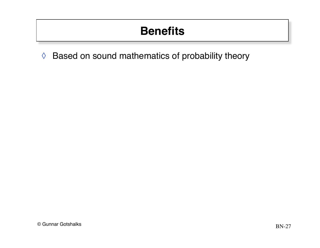# **Benefits**

◊ Based on sound mathematics of probability theory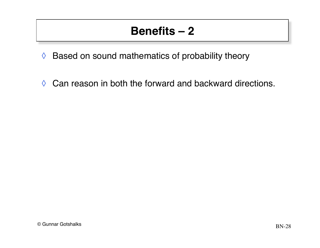- ◊ Based on sound mathematics of probability theory
- ◊ Can reason in both the forward and backward directions.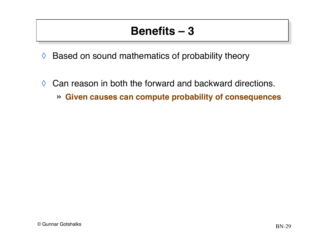- ◊ Based on sound mathematics of probability theory
- $\Diamond$  Can reason in both the forward and backward directions.
	- » **Given causes can compute probability of consequences**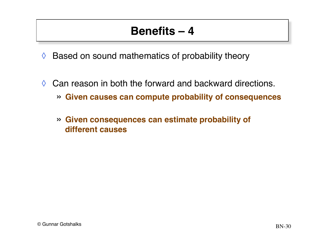- $\Diamond$  Based on sound mathematics of probability theory
- $\Diamond$  Can reason in both the forward and backward directions.
	- » **Given causes can compute probability of consequences**
	- » **Given consequences can estimate probability of different causes**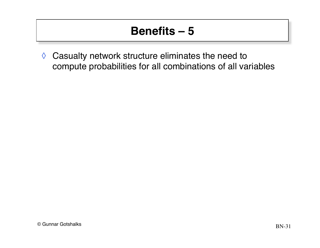◊ Casualty network structure eliminates the need to compute probabilities for all combinations of all variables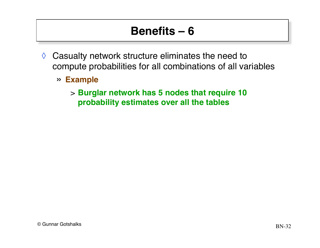- $\Diamond$  Casualty network structure eliminates the need to compute probabilities for all combinations of all variables
	- » **Example**
		- > **Burglar network has 5 nodes that require 10 probability estimates over all the tables**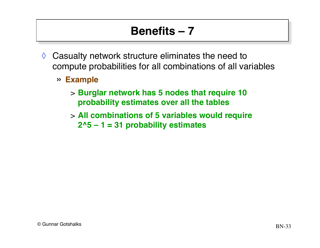- $\Diamond$  Casualty network structure eliminates the need to compute probabilities for all combinations of all variables
	- » **Example**
		- > **Burglar network has 5 nodes that require 10 probability estimates over all the tables**
		- > **All combinations of 5 variables would require 2^5 – 1 = 31 probability estimates**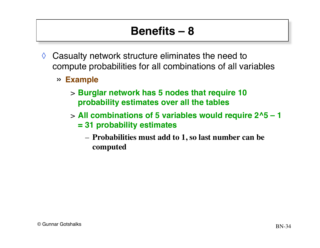- $\Diamond$  Casualty network structure eliminates the need to compute probabilities for all combinations of all variables
	- » **Example**
		- > **Burglar network has 5 nodes that require 10 probability estimates over all the tables**
		- > **All combinations of 5 variables would require 2^5 1 = 31 probability estimates**
			- **Probabilities must add to 1, so last number can be computed**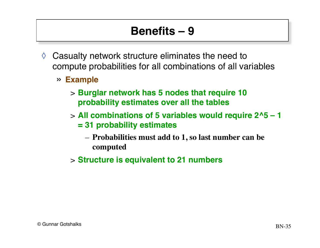- $\Diamond$  Casualty network structure eliminates the need to compute probabilities for all combinations of all variables
	- » **Example**
		- > **Burglar network has 5 nodes that require 10 probability estimates over all the tables**
		- > **All combinations of 5 variables would require 2^5 1 = 31 probability estimates**
			- **Probabilities must add to 1, so last number can be computed**
		- > **Structure is equivalent to 21 numbers**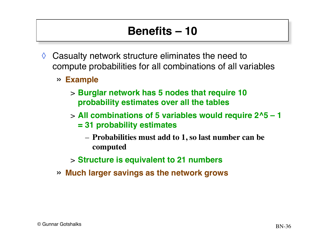- $\Diamond$  Casualty network structure eliminates the need to compute probabilities for all combinations of all variables
	- » **Example**
		- > **Burglar network has 5 nodes that require 10 probability estimates over all the tables**
		- > **All combinations of 5 variables would require 2^5 1 = 31 probability estimates**
			- **Probabilities must add to 1, so last number can be computed**
		- > **Structure is equivalent to 21 numbers**
	- » **Much larger savings as the network grows**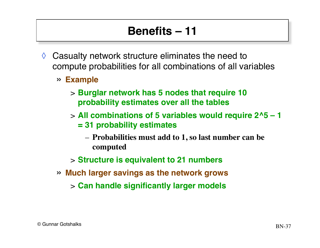- $\Diamond$  Casualty network structure eliminates the need to compute probabilities for all combinations of all variables
	- » **Example**
		- > **Burglar network has 5 nodes that require 10 probability estimates over all the tables**
		- > **All combinations of 5 variables would require 2^5 1 = 31 probability estimates**
			- **Probabilities must add to 1, so last number can be computed**
		- > **Structure is equivalent to 21 numbers**
	- » **Much larger savings as the network grows**
		- > **Can handle significantly larger models**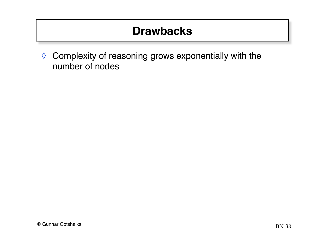# **Drawbacks**

◊ Complexity of reasoning grows exponentially with the number of nodes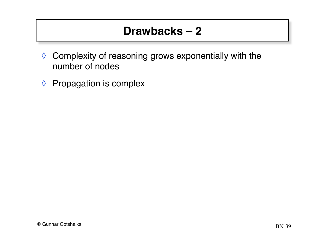- ◊ Complexity of reasoning grows exponentially with the number of nodes
- ◊ Propagation is complex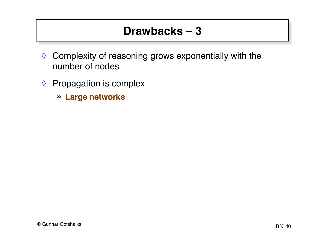- ◊ Complexity of reasoning grows exponentially with the number of nodes
- ◊ Propagation is complex
	- » **Large networks**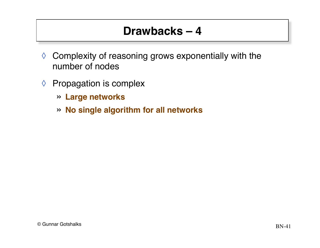- ◊ Complexity of reasoning grows exponentially with the number of nodes
- ◊ Propagation is complex
	- » **Large networks**
	- » **No single algorithm for all networks**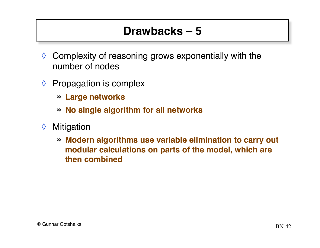- $\Diamond$  Complexity of reasoning grows exponentially with the number of nodes
- $\Diamond$  Propagation is complex
	- » **Large networks**
	- » **No single algorithm for all networks**
- ◊ Mitigation
	- » **Modern algorithms use variable elimination to carry out modular calculations on parts of the model, which are then combined**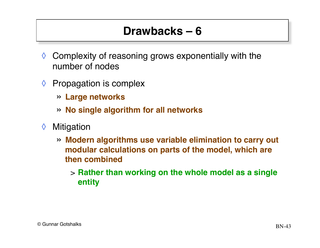- $\Diamond$  Complexity of reasoning grows exponentially with the number of nodes
- $\Diamond$  Propagation is complex
	- » **Large networks**
	- » **No single algorithm for all networks**
- ◊ Mitigation
	- » **Modern algorithms use variable elimination to carry out modular calculations on parts of the model, which are then combined**
		- > **Rather than working on the whole model as a single entity**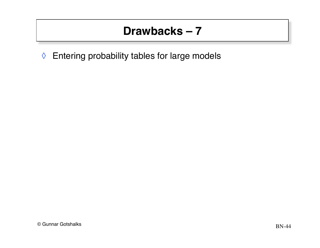◊ Entering probability tables for large models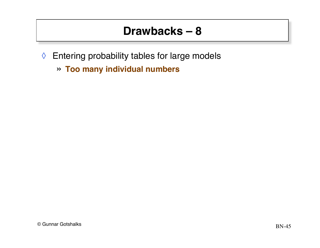- ◊ Entering probability tables for large models
	- » **Too many individual numbers**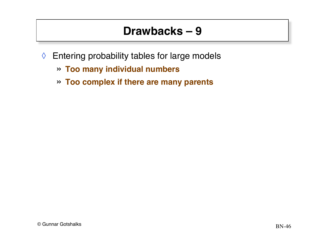- ◊ Entering probability tables for large models
	- » **Too many individual numbers**
	- » **Too complex if there are many parents**